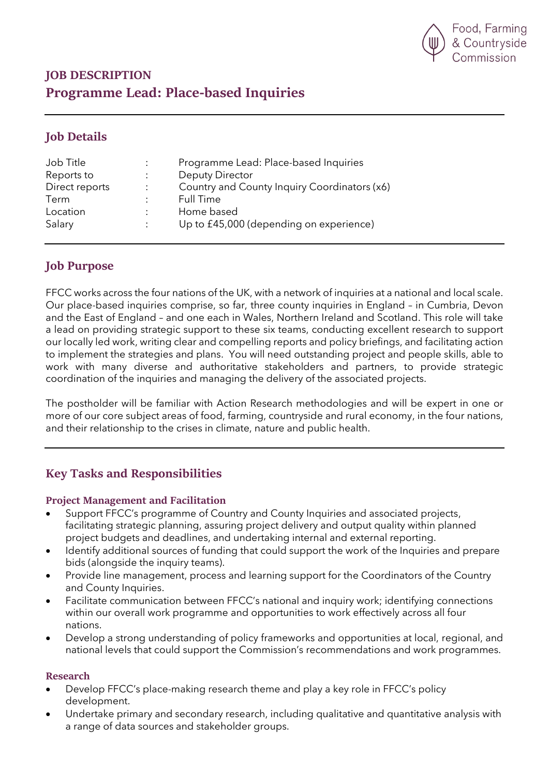

# **JOB DESCRIPTION Programme Lead: Place-based Inquiries**

# **Job Details**

| Job Title      |                      | Programme Lead: Place-based Inquiries        |
|----------------|----------------------|----------------------------------------------|
| Reports to     |                      | Deputy Director                              |
| Direct reports | $\ddot{\phantom{a}}$ | Country and County Inquiry Coordinators (x6) |
| Term           |                      | Full Time                                    |
| Location       |                      | Home based                                   |
| Salary         |                      | Up to £45,000 (depending on experience)      |
|                |                      |                                              |

### **Job Purpose**

FFCC works across the four nations of the UK, with a network of inquiries at a national and local scale. Our place-based inquiries comprise, so far, three county inquiries in England – in Cumbria, Devon and the East of England – and one each in Wales, Northern Ireland and Scotland. This role will take a lead on providing strategic support to these six teams, conducting excellent research to support our locally led work, writing clear and compelling reports and policy briefings, and facilitating action to implement the strategies and plans. You will need outstanding project and people skills, able to work with many diverse and authoritative stakeholders and partners, to provide strategic coordination of the inquiries and managing the delivery of the associated projects.

The postholder will be familiar with Action Research methodologies and will be expert in one or more of our core subject areas of food, farming, countryside and rural economy, in the four nations, and their relationship to the crises in climate, nature and public health.

### **Key Tasks and Responsibilities**

### **Project Management and Facilitation**

- Support FFCC's programme of Country and County Inquiries and associated projects, facilitating strategic planning, assuring project delivery and output quality within planned project budgets and deadlines, and undertaking internal and external reporting.
- Identify additional sources of funding that could support the work of the Inquiries and prepare bids (alongside the inquiry teams).
- Provide line management, process and learning support for the Coordinators of the Country and County Inquiries.
- Facilitate communication between FFCC's national and inquiry work; identifying connections within our overall work programme and opportunities to work effectively across all four nations.
- Develop a strong understanding of policy frameworks and opportunities at local, regional, and national levels that could support the Commission's recommendations and work programmes.

#### **Research**

- Develop FFCC's place-making research theme and play a key role in FFCC's policy development.
- Undertake primary and secondary research, including qualitative and quantitative analysis with a range of data sources and stakeholder groups.